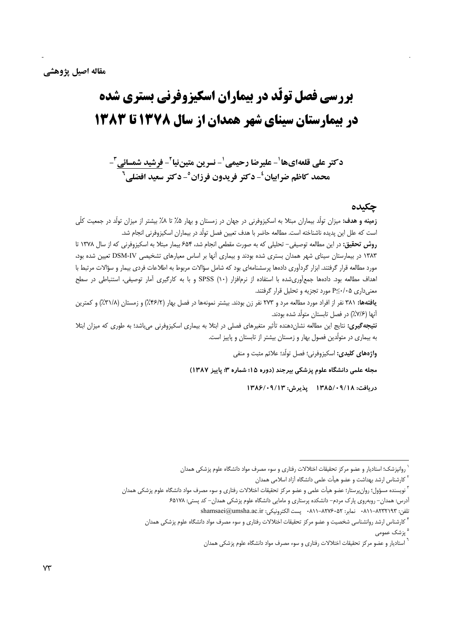# بررسی فصل تولّد در بیماران اسکیزوفرنی بستری شده در بیمارستان سینای شهر همدان از سال ۱۳۷۸ تا ۱۳۸۳

دكتر على قلعه|ىها ٰ- عليرضا رحيمي ٰ- نسرين متيننيا ٗ- فرشيد شمسائي ؑ-محمد كاظم ضرابيان<sup>ء</sup>- دكتر فريدون فرزان°- دكتر سعيد افضلي<sup>7</sup>

## چکیده

**زمینه و هدف:** میزان تولّد بیماران مبتلا به اسکیزوفرنی در جهان در زمستان و بهار ۵٪ تا ۸٪ بیشتر از میزان تولّد در جمعیت کلّی است که علل این پدیده ناشناخته است. مطالعه حاضر با هدف تعیین فصل تولَّد در بیماران اسکیزوفرنی انجام شد. روش تحقیق: در این مطالعه توصیفی- تحلیلی که به صورت مقطعی انجام شد، ۶۵۴ بیمار مبتلا به اسکیزوفرنی که از سال ۱۳۷۸ تا ۱۳۸۳ در بیمارستان سینای شهر همدان بستری شده بودند و بیماری آنها بر اساس معیارهای تشخیصی DSM-IV تعیین شده بود، مورد مطالعه قرار گرفتند. ابزار گردآوری دادهها پرسشنامهای بود که شامل سؤالات مربوط به اطلاعات فردی بیمار و سؤالات مرتبط با اهداف مطالعه بود. دادهها جمعآوریشده با استفاده از نرمافزار (۱۰) SPSS و با به کارگیری آمار توصیفی، استنباطی در سطح معنیداری P≤٠/٠۵ مورد تجزیه و تحلیل قرار گرفتند.

یافتهها: ۳۸۱ نفر از افراد مورد مطالعه مرد و ۲۷۳ نفر زن بودند. بیشتر نمونهها در فصل بهار (۴۶/۲٪) و زمستان (۳۱/۸٪) و کمترین آنها (٧/۶٪) در فصل تابستان متولِّد شده بودند.

**نتیجه گیری:** نتایج این مطالعه نشاندهنده تأثیر متغیرهای فصلی در ابتلا به بیماری اسکیزوفرنی میباشد؛ به طوری که میزان ابتلا به بیماری در متولَّدین فصول بهار و زمستان بیشتر از تابستان و پاییز است.

واژههای کلیدی: اسکیزوفرنی؛ فصل تولّد؛ علائم مثبت و منفی

مجله علمی دانشگاه علوم پزشکی پیرجند (دوره ۱۵؛ شماره ۳؛ پاییز ۱۳۸۷)

دريافت: ۱۳۸۵/۰۹/۱۸ يذيرش: ۱۳۸۶/۰۹/۱۳

روانپزشک؛ استادیار و عضو مرکز تحقیقات اختلالات رفتاری و سوء مصرف مواد دانشگاه علوم پزشکی همدان

<sup>&</sup>lt;sup>۲</sup> کارشناس ارشد بهداشت و عضو هیأت علمی دانشگاه آزاد اسلامی همدان

<sup>&</sup>lt;sup>7</sup> نویسنده مسؤول؛ روانٍپرستار؛ عضو هیأت علمی و عضو مرکز تحقیقات اختلالات رفتاری و سوء مصرف مواد دانشگاه علوم پزشکی همدان آدرس: همدان- روبهروی پارک مردم- دانشکده پرستاری و مامایی دانشگاه علوم پزشکی همدان- کد پستی: ۶۵۱۷۸

تلفن: ٨٢٣٣١٩٣-٨١١٠ نمابر: ٨٢٧۶٠-٨١١-٨٢٧٠ - پست الكترونيكي: shamsaei@umsha.ac.ir

<sup>&</sup>lt;sup>۴</sup> کارشناس ارشد روانشناسی شخصیت و عضو مرکز تحقیقات اختلالات رفتاری و سوء مصرف مواد دانشگاه علوم پزشکی همدان <sup>ہ</sup> پزشک عمومے ِ

<sup>ٔ</sup> استادیار و عضو مرکز تحقیقات اختلالات رفتاری و سوء مصرف مواد دانشگاه علوم پزشکی همدان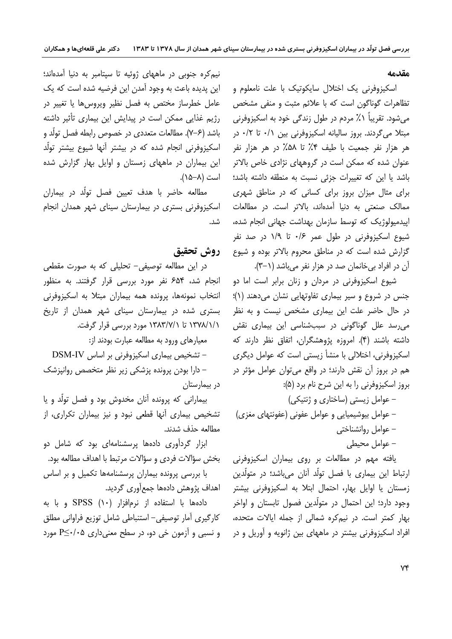#### هق*د*مه

اسكيزوفرني يك اختلال سايكوتيك با علت نامعلوم و تظاهرات گوناگون است که با علائم مثبت و منفی مشخص میشود. تقریباً ۰٪ مردم در طول زندگی خود به اسکیزوفرنی مبتلا می گردند. بروز سالیانه اسکیزوفرنی بین ۰/۱ تا ۰/۲ در هر هزار نفر جمعیت با طیف ۴٪ تا ۵۸٪ در هر هزار نفر عنوان شده که ممکن است در گروههای نژادی خاص بالاتر باشد یا این که تغییرات جزئی نسبت به منطقه داشته باشد؛ برای مثال میزان بروز برای کسانی که در مناطق شهری ممالک صنعتی به دنیا آمدهاند، بالاتر است. در مطالعات اییدمیولوژیک که توسط سازمان بهداشت جهانی انجام شده، شیوع اسکیزوفرنی در طول عمر ۰/۶ تا ۱/۹ در صد نفر گزارش شده است که در مناطق محروم بالاتر بوده و شیوع آن در افراد بیخانمان صد در هزار نفر میباشد (۲–۳).

شیوع اسکیزوفرنی در مردان و زنان برابر است اما دو جنس در شروع و سیر بیماری تفاوتهایی نشان میدهند (۱)؛ در حال حاضر علت این بیماری مشخص نیست و به نظر می رسد علل گوناگونی در سببشناسی این بیماری نقش داشته باشند (۴). امروزه پژوهشگران، اتفاق نظر دارند که اسکیزوفرنی، اختلالی با منشأ زیستی است که عوامل دیگری هم در بروز آن نقش دارند؛ در واقع می توان عوامل مؤثر در بروز اسكيزوفرني را به اين شرح نام برد (۵):

- عوامل زیستی (ساختاری و ژنتیکی) – عوامل بیوشیمیایی و عوامل عفونی (عفونتهای مغزی) عوامل روانشناختی = – عوامل محیطی

یافته مهم در مطالعات بر روی بیماران اسکیزوفرنی ارتباط این بیماری با فصل تولّد أنان میباشد؛ در متولّدین زمستان یا اوایل بهار، احتمال ابتلا به اسکیزوفرنی بیشتر وجود دارد؛ این احتمال در متولَّدین فصول تابستان و اواخر بهار کمتر است. در نیمکره شمالی از جمله ایالات متحده، افراد اسکیزوفرنی بیشتر در ماههای بین ژانویه و آوریل و در

نیم کره جنوبی در ماههای ژوئیه تا سیتامبر به دنیا آمدهاند؛ این پدیده باعث به وجود آمدن این فرضیه شده است که یک عامل خطرساز مختص به فصل نظیر ویروس ها یا تغییر در رژیم غذایی ممکن است در پیدایش این بیماری تأثیر داشته باشد (۶–۷). مطالعات متعددی در خصوص رابطه فصل تولّد و اسکیزوفرنی انجام شده که در بیشتر آنها شیوع بیشتر تولد این بیماران در ماههای زمستان و اوایل بهار گزارش شده .(15-8) (

مطالعه حاضر با هدف تعيين فصل تولَّد در بيماران اسکیزوفرنی بستری در بیمارستان سینای شهر همدان انجام شد.

## **روش تحقيق**

در این مطالعه توصیفی- تحلیلی که به صورت مقطعی انجام شد، ۶۵۴ نفر مورد بررسی قرار گرفتند. به منظور انتخاب نمونهها، يرونده همه بيماران مبتلا به اسكيزوفرن*ي* بستری شده در بیمارستان سینای شهر همدان از تاریخ ۱۳۷۸/۱/۱ تا ۱۳۸۳/۷/۱ مورد بررسی قرار گرفت.

معیارهای ورود به مطالعه عبارت بودند از:  $DSM-IV$  تشخیص بیماری اسکیزوفرنی بر اساس DSM-IV دارا بودن پرونده پزشکی زیر نظر متخصص روانیزشک $-$ در بیمارستان

بیمارانی که پرونده آنان مخدوش بود و فصل تولّد و یا تشخیص بیماری آنها قطعی نبود و نیز بیماران تکراری، از مطالعه حذف شدند.

ابزار گردآوری دادهها پرسشنامهای بود که شامل دو بخش سؤالات فردي و سؤالات مرتبط با اهداف مطالعه بود. با بررسی پرونده بیماران پرسشنامهها تکمیل و بر اساس اهداف یژوهش دادهها جمع[ّوری گردید.

دادهها با استفاده از نرمافزار (۱۰) SPSS و با به كارگيري آمار توصيفي– استنباطي شامل توزيع فراواني مطلق و نسبي و آزمون خي دو، در سطح معني دارې  $P \leq \cdot / \cdot 2$  مورد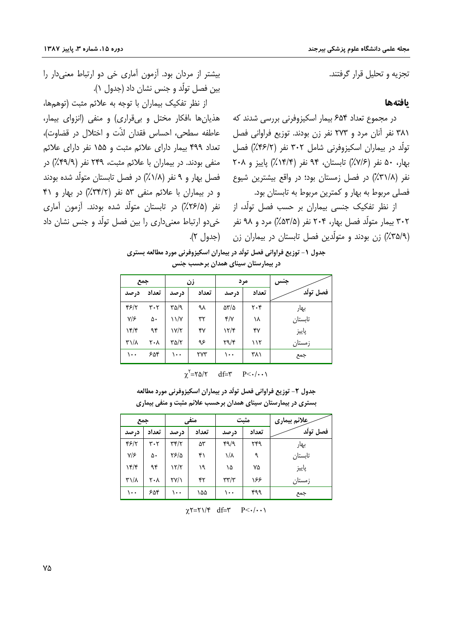تجزیه و تحلیل قرار گرفتند.

## بافتهها

در مجموع تعداد ۶۵۴ بیمار اسکیزوفرنی بررسی شدند که ۳۸۱ نفر آنان مرد و ۲۷۳ نفر زن بودند. توزیع فراوانی فصل تولَّد در بیماران اسکیزوفرنی شامل ۳۰۲ نفر (۴۶/۲٪) فصل بهار، ۵۰ نفر (۷/۶٪) تابستان، ۹۴ نفر (۱۴/۴٪) پاییز و ۲۰۸ نفر (٣١/٨٪) در فصل زمستان بود؛ در واقع بیشترین شیوع فصلی مربوط به بهار و کمترین مربوط به تابستان بود.

از نظر تفکیک جنسی بیماران بر حسب فصل تولّد، از ۳۰۲ بیمار متولّد فصل بهار، ۲۰۴ نفر (۵۳/۵٪) مرد و ۹۸ نفر (۳۵/۹٪) زن بودند و متولّدین فصل تابستان در بیماران زن

بیشتر از مردان بود. آزمون آماری خی دو ارتباط معنی دار را بين فصل تولَّد و جنس نشان داد (جدول ۱).

از نظر تفكيك بيماران با توجه به علائم مثبت (توهمها، هذیانها ،افکار مختل و بیقراری) و منفی (انزوای بیمار، عاطفه سطحی، احساس فقدان لذّت و اختلال در قضاوت)، تعداد ۴۹۹ بیمار دارای علائم مثبت و ۱۵۵ نفر دارای علائم منفی بودند. در بیماران با علائم مثبت، ۲۴۹ نفر (۴۹/۹٪) در فصل بهار و ۹ نفر (۱/۸٪) در فصل تابستان متولّد شده بودند و در بیماران با علائم منفی ۵۳ نفر (۳۴/۲٪) در بهار و ۴۱ نفر (۲۶/۵٪) در تابستان متولّد شده بودند. آزمون آماری خي دو ارتباط معنى داري را بين فصل تولّد و جنس نشان داد (جدول ۲).

> جدول ۱- توزیع فراوانی فصل تولّد در بیماران اسکیزوفرنی مورد مطالعه بستری در بیمارستان سینای همدان برحسب جنس

| جمع             |       | زن                     |       | مرد                                |       | جنس       |
|-----------------|-------|------------------------|-------|------------------------------------|-------|-----------|
| د, صد           | تعداد | د, صد                  | تعداد | درصد                               | تعداد | فصل تولّد |
| 48/7            | ۳۰۲   | ۳۵/۹                   | ٩λ    | $\Delta \text{Y}/\Delta$           | ۲۰۴   | بهار      |
| $Y/\mathcal{F}$ | ۵۰    | ۱۱/۷                   | ٣٢    | $\mathbf{f}/\mathbf{v}$            | ۱۸    | تابستان   |
| 15/5            | ۹۴    | ۱۷/۲                   | ۴٧    | 117                                | ۴۷    | پاييز     |
| $\mu/\lambda$   | ۲۰۸   | $\Gamma \Delta/\Gamma$ | ۹۶    | $\mathbf{Y} \mathbf{Y} \mathbf{Y}$ | ۱۱۲   | زمستان    |
| $\cdots$        | ۶۵۴   | ۱۰۰                    | ٢٧٣   | ۱۰۰                                | ۳۸۱   | جمع       |

| $\chi'$ =۲۵/۲ | $df = \tilde{r}$ | $P<\cdot/\cdot\cdot$ |
|---------------|------------------|----------------------|
|               |                  |                      |

جدول ۲- توزیع فراوانی فصل تولّد در بیماران اسکیزوفرنی مورد مطالعه بستری در بیمارستان سینای همدان برحسب علائم مثبت و منفی بیماری

| جمع                             |       | منفي                  |       | مثبت                              |       | ِعلائم بیماری |
|---------------------------------|-------|-----------------------|-------|-----------------------------------|-------|---------------|
| درصد                            | تعداد | در صد                 | تعداد | در صد                             | تعداد | فصل تولّد     |
| ۴۶/۲                            | ۳۰۲   | $\tau$ $\tau$         | ۵۳    | 49/9                              | ۲۴۹   | بهار          |
| $Y/\mathcal{F}$                 | ۵۰    | ۲۶/۵                  | ۴۱    | ۱/۸                               | ٩     | تابستان       |
| ۱۴/۴                            | ۹۴    | ۱۲/۲                  | ۱۹    | ۱۵                                | ۷۵    | پاييز         |
| $\mathsf{r}\setminus\mathsf{r}$ | ۲۰۸   | $\Upsilon V/\Upsilon$ | ۴۲    | $\mathbf{r}\mathbf{r}/\mathbf{r}$ | ۱۶۶   | زمستان        |
| ۱۰۰                             | ۶۵۴   | ۱۰۰                   | ۱۵۵   | ۱۰۰                               | ۴۹۹   | جمع           |

 $\chi$ Y=Y $\sqrt{\tau}$  df=Y P<-/--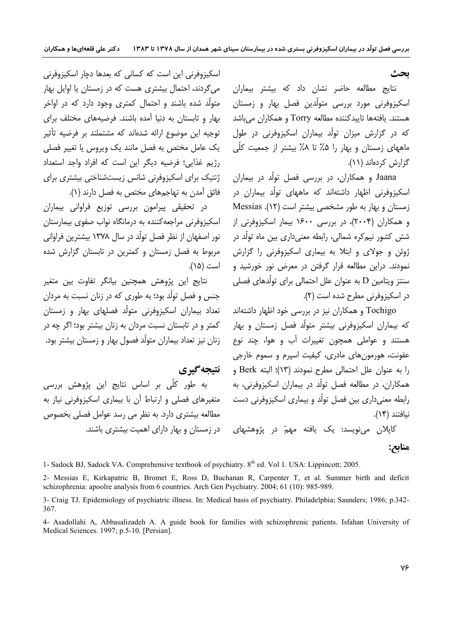## ىحث

نتایج مطالعه حاضر نشان داد که بیشتر بیماران اسکیزوفرنی مورد بررسی متولَّدین فصل بھار و زمستان هستند. یافتهها تاییدکننده مطالعه Torry و همکاران میباشد که در گزارش میزان تولّد بیماران اسکیزوفرنی در طول ماههای زمستان و بهار را ۰٫۵٪ تا ۰٫۸٪ بیشتر از جمعیت کلّی گزارش کردهاند (۱۱).

Jaana و همکاران، در بررسی فصل تولّد در بیماران اسکیزوفرنی اظهار داشتهاند که ماههای تولّد بیماران در زمستان و بهار به طور مشخصی بیشتر است (١٢). Messias و همکاران (۲۰۰۴)، در بررسی ۱۶۰۰ بیمار اسکیزوفرنی از شش کشور نیمکره شمالی، رابطه معنیداری بین ماه تولّد در ژوئن و جولای و ابتلا به بیماری اسکیزوفرنی را گزارش نمودند. دراین مطالعه قرار گرفتن در معرض نور خورشید و سنتز ویتامین D به عنوان علل احتمالی برای تولّدهای فصلی در اسکیزوفرنی مطرح شده است (۲).

Tochigo و همکاران نیز در بررسی خود اظهار داشتهاند که بیماران اسکیزوفرنی بیشتر متولّد فصل زمستان و بهار هستند و عواملی همچون تغییرات آب و هوا، چند نوع عفونت، هورمونهاي مادري، کيفيت اسپرم و سموم خارجي را به عنوان علل احتمالی مطرح نمودند (١٣)؛ البته Berk و همکاران، در مطالعه فصل تولَّد در بیماران اسکیزوفرنی، به رابطه معنی داری بین فصل تولّد و بیماری اسکیزوفرنی دست نيافتند (١۴).

کايلان مي;نويسد: يک يافته مهمّ در پژوهشهاي

اسکیزوفرنی این است که کسانی که بعدها دچار اسکیزوفرنی می گردند، احتمال بیشتری هست که در زمستان یا اوایل بهار متولّد شده باشند و احتمال کمتری وجود دارد که در اواخر بهار و تابستان به دنیا آمده باشند. فرضیههای مختلف برای توجیه این موضوع ارائه شدهاند که مشتملند بر فرضیه تأثیر یک عامل مختص به فصل مانند یک ویروس یا تغییر فصلی رژیم غذایی؛ فرضیه دیگر این است که افراد واجد استعداد ژنتیک برای اسکیزوفرنی شانس زیستشناختی بیشتری برای فائق آمدن به تهاجمهای مختص به فصل دارند (۱).

در تحقیقی پیرامون بررسی توزیع فراوانی بیماران اسکیزوفرنی مراجعه کننده به درمانگاه نواب صفوی بیمارستان نور اصفهان از نظر فصل تولَّد در سال ۱۳۷۸ بیشترین فراوانی مربوط به فصل زمستان و کمترین در تابستان گزارش شده است (۱۵).

نتايج اين پژوهش همچنين بيانگر تفاوت بين متغير جنس و فصل تولّد بود؛ به طوری که در زنان نسبت به مردان تعداد بیماران اسکیزوفرنی متولّد فصلهای بهار و زمستان کمتر و در تابستان نسبت مردان به زنان بیشتر بود؛ اگر چه در زنان نیز تعداد بیماران متولّد فصول بهار و زمستان بیشتر بود.

نتىجەگىرى

به طور کلّی بر اساس نتایج این پژوهش بررسی متغیرهای فصلی و ارتباط آن با بیماری اسکیزوفرنی نیاز به مطالعه بیشتری دارد. به نظر می رسد عوامل فصلی بخصوص در زمستان و بهار دارای اهمیت بیشتری باشند.

منابح:

1- Sadock BJ, Sadock VA. Comprehensive textbook of psychiatry. 8<sup>th</sup> ed. Vol 1. USA: Lippincott; 2005.

2- Messias E, Kirkapatric B, Bromet E, Ross D, Buchanan R, Carpenter T, et al. Summer birth and deficit schizophrenia: apoolre analysis from 6 countries. Arch Gen Psychiatry. 2004; 61 (10): 985-989.

3- Craig TJ. Epidemiology of psychiatric illness. In: Medical basis of psychiatry. Philadelphia; Saunders; 1986; p.342-367.

4- Asadollahi A, Abbasalizadeh A, A guide book for families with schizophrenic patients. Isfahan University of Medical Sciences. 1997; p.5-10. [Persian].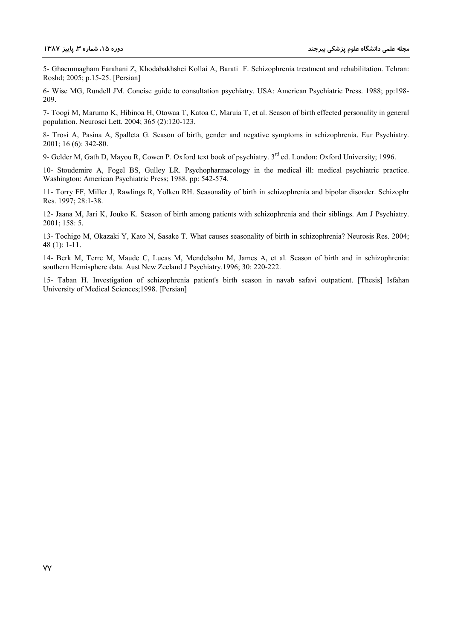5- Ghaemmagham Farahani Z, Khodabakhshei Kollai A, Barati F. Schizophrenia treatment and rehabilitation. Tehran: Roshd; 2005; p.15-25. [Persian]

6- Wise MG, Rundell JM. Concise guide to consultation psychiatry. USA: American Psychiatric Press. 1988; pp:198- 209.

7- Toogi M, Marumo K, Hibinoa H, Otowaa T, Katoa C, Maruia T, et al. Season of birth effected personality in general population. Neurosci Lett. 2004; 365 (2):120-123.

8- Trosi A, Pasina A, Spalleta G. Season of birth, gender and negative symptoms in schizophrenia. Eur Psychiatry. 2001; 16 (6): 342-80.

9- Gelder M, Gath D, Mayou R, Cowen P. Oxford text book of psychiatry. 3<sup>rd</sup> ed. London: Oxford University; 1996.

10- Stoudemire A, Fogel BS, Gulley LR. Psychopharmacology in the medical ill: medical psychiatric practice. Washington: American Psychiatric Press; 1988. pp: 542-574.

11- Torry FF, Miller J, Rawlings R, Yolken RH. Seasonality of birth in schizophrenia and bipolar disorder. Schizophr Res. 1997; 28:1-38.

12- Jaana M, Jari K, Jouko K. Season of birth among patients with schizophrenia and their siblings. Am J Psychiatry. 2001; 158: 5.

13- Tochigo M, Okazaki Y, Kato N, Sasake T. What causes seasonality of birth in schizophrenia? Neurosis Res. 2004; 48 (1): 1-11.

14- Berk M, Terre M, Maude C, Lucas M, Mendelsohn M, James A, et al. Season of birth and in schizophrenia: southern Hemisphere data. Aust New Zeeland J Psychiatry.1996; 30: 220-222.

15- Taban H. Investigation of schizophrenia patient's birth season in navab safavi outpatient. [Thesis] Isfahan University of Medical Sciences;1998. [Persian]